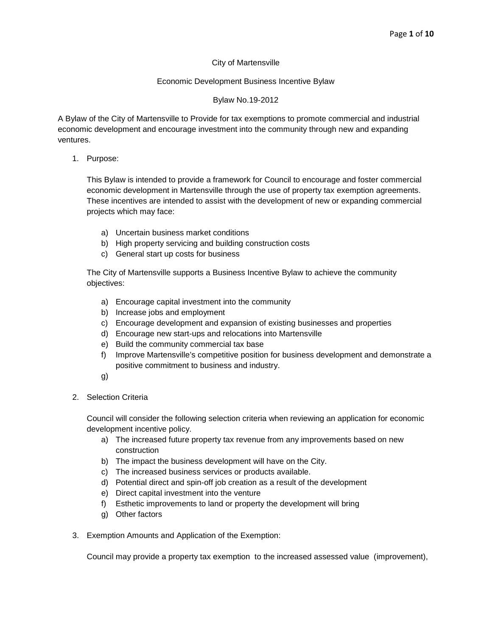### City of Martensville

### Economic Development Business Incentive Bylaw

### Bylaw No.19-2012

A Bylaw of the City of Martensville to Provide for tax exemptions to promote commercial and industrial economic development and encourage investment into the community through new and expanding ventures.

1. Purpose:

This Bylaw is intended to provide a framework for Council to encourage and foster commercial economic development in Martensville through the use of property tax exemption agreements. These incentives are intended to assist with the development of new or expanding commercial projects which may face:

- a) Uncertain business market conditions
- b) High property servicing and building construction costs
- c) General start up costs for business

The City of Martensville supports a Business Incentive Bylaw to achieve the community objectives:

- a) Encourage capital investment into the community
- b) Increase jobs and employment
- c) Encourage development and expansion of existing businesses and properties
- d) Encourage new start-ups and relocations into Martensville
- e) Build the community commercial tax base
- f) Improve Martensville's competitive position for business development and demonstrate a positive commitment to business and industry.
- g)
- 2. Selection Criteria

Council will consider the following selection criteria when reviewing an application for economic development incentive policy.

- a) The increased future property tax revenue from any improvements based on new construction
- b) The impact the business development will have on the City.
- c) The increased business services or products available.
- d) Potential direct and spin-off job creation as a result of the development
- e) Direct capital investment into the venture
- f) Esthetic improvements to land or property the development will bring
- g) Other factors
- 3. Exemption Amounts and Application of the Exemption:

Council may provide a property tax exemption to the increased assessed value (improvement),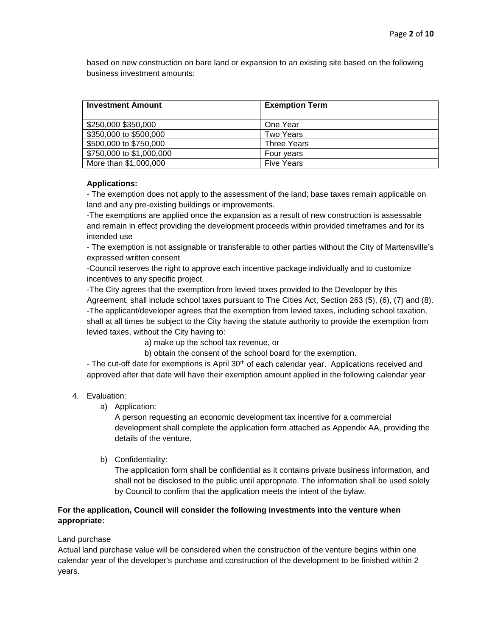based on new construction on bare land or expansion to an existing site based on the following business investment amounts:

| <b>Investment Amount</b> | <b>Exemption Term</b> |
|--------------------------|-----------------------|
|                          |                       |
| \$250,000 \$350,000      | One Year              |
| \$350,000 to \$500,000   | <b>Two Years</b>      |
| \$500,000 to \$750,000   | <b>Three Years</b>    |
| \$750,000 to \$1,000,000 | Four years            |
| More than \$1,000,000    | <b>Five Years</b>     |

### **Applications:**

- The exemption does not apply to the assessment of the land; base taxes remain applicable on land and any pre-existing buildings or improvements.

-The exemptions are applied once the expansion as a result of new construction is assessable and remain in effect providing the development proceeds within provided timeframes and for its intended use

- The exemption is not assignable or transferable to other parties without the City of Martensville's expressed written consent

-Council reserves the right to approve each incentive package individually and to customize incentives to any specific project.

-The City agrees that the exemption from levied taxes provided to the Developer by this Agreement, shall include school taxes pursuant to The Cities Act, Section 263 (5), (6), (7) and (8). -The applicant/developer agrees that the exemption from levied taxes, including school taxation, shall at all times be subject to the City having the statute authority to provide the exemption from levied taxes, without the City having to:

- a) make up the school tax revenue, or
- b) obtain the consent of the school board for the exemption.

- The cut-off date for exemptions is April 30<sup>th</sup> of each calendar year. Applications received and approved after that date will have their exemption amount applied in the following calendar year

### 4. Evaluation:

a) Application:

A person requesting an economic development tax incentive for a commercial development shall complete the application form attached as Appendix AA, providing the details of the venture.

b) Confidentiality:

The application form shall be confidential as it contains private business information, and shall not be disclosed to the public until appropriate. The information shall be used solely by Council to confirm that the application meets the intent of the bylaw.

### **For the application, Council will consider the following investments into the venture when appropriate:**

## Land purchase

Actual land purchase value will be considered when the construction of the venture begins within one calendar year of the developer's purchase and construction of the development to be finished within 2 years.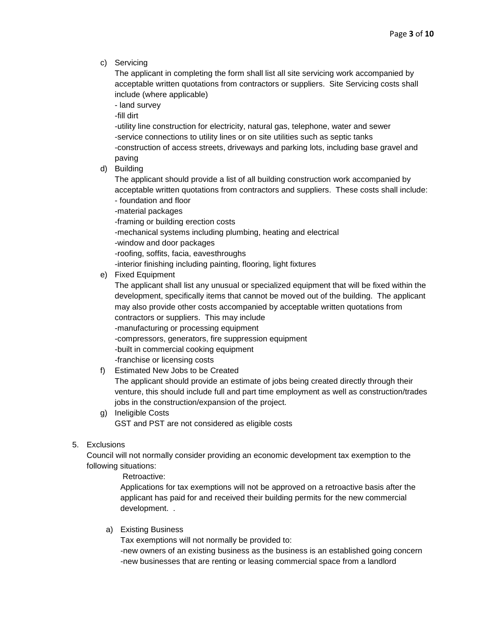c) Servicing

The applicant in completing the form shall list all site servicing work accompanied by acceptable written quotations from contractors or suppliers. Site Servicing costs shall include (where applicable)

- land survey

-fill dirt

-utility line construction for electricity, natural gas, telephone, water and sewer -service connections to utility lines or on site utilities such as septic tanks -construction of access streets, driveways and parking lots, including base gravel and paving

d) Building

The applicant should provide a list of all building construction work accompanied by acceptable written quotations from contractors and suppliers. These costs shall include: - foundation and floor

-material packages

-framing or building erection costs

-mechanical systems including plumbing, heating and electrical

-window and door packages

-roofing, soffits, facia, eavesthroughs

-interior finishing including painting, flooring, light fixtures

e) Fixed Equipment

The applicant shall list any unusual or specialized equipment that will be fixed within the development, specifically items that cannot be moved out of the building. The applicant may also provide other costs accompanied by acceptable written quotations from contractors or suppliers. This may include -manufacturing or processing equipment -compressors, generators, fire suppression equipment -built in commercial cooking equipment -franchise or licensing costs

## f) Estimated New Jobs to be Created

The applicant should provide an estimate of jobs being created directly through their venture, this should include full and part time employment as well as construction/trades jobs in the construction/expansion of the project.

g) Ineligible Costs GST and PST are not considered as eligible costs

### 5. Exclusions

Council will not normally consider providing an economic development tax exemption to the following situations:

Retroactive:

Applications for tax exemptions will not be approved on a retroactive basis after the applicant has paid for and received their building permits for the new commercial development. .

a) Existing Business

Tax exemptions will not normally be provided to:

-new owners of an existing business as the business is an established going concern -new businesses that are renting or leasing commercial space from a landlord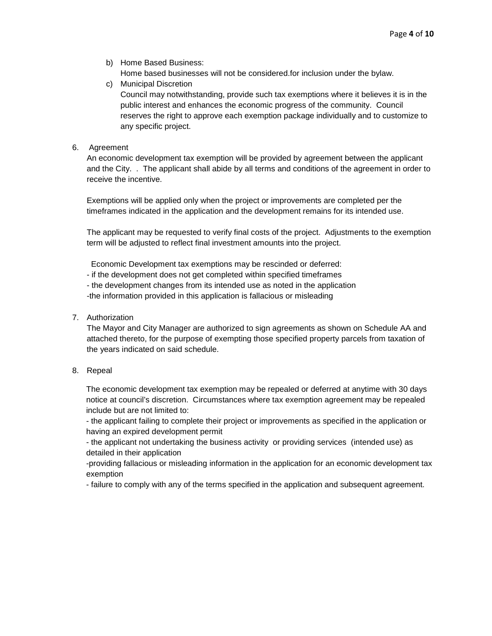- b) Home Based Business: Home based businesses will not be considered.for inclusion under the bylaw.
- c) Municipal Discretion Council may notwithstanding, provide such tax exemptions where it believes it is in the public interest and enhances the economic progress of the community. Council reserves the right to approve each exemption package individually and to customize to any specific project.

### 6. Agreement

An economic development tax exemption will be provided by agreement between the applicant and the City. . The applicant shall abide by all terms and conditions of the agreement in order to receive the incentive.

Exemptions will be applied only when the project or improvements are completed per the timeframes indicated in the application and the development remains for its intended use.

The applicant may be requested to verify final costs of the project. Adjustments to the exemption term will be adjusted to reflect final investment amounts into the project.

Economic Development tax exemptions may be rescinded or deferred:

- if the development does not get completed within specified timeframes
- the development changes from its intended use as noted in the application
- -the information provided in this application is fallacious or misleading

### 7. Authorization

The Mayor and City Manager are authorized to sign agreements as shown on Schedule AA and attached thereto, for the purpose of exempting those specified property parcels from taxation of the years indicated on said schedule.

#### 8. Repeal

The economic development tax exemption may be repealed or deferred at anytime with 30 days notice at council's discretion. Circumstances where tax exemption agreement may be repealed include but are not limited to:

- the applicant failing to complete their project or improvements as specified in the application or having an expired development permit

- the applicant not undertaking the business activity or providing services (intended use) as detailed in their application

-providing fallacious or misleading information in the application for an economic development tax exemption

- failure to comply with any of the terms specified in the application and subsequent agreement.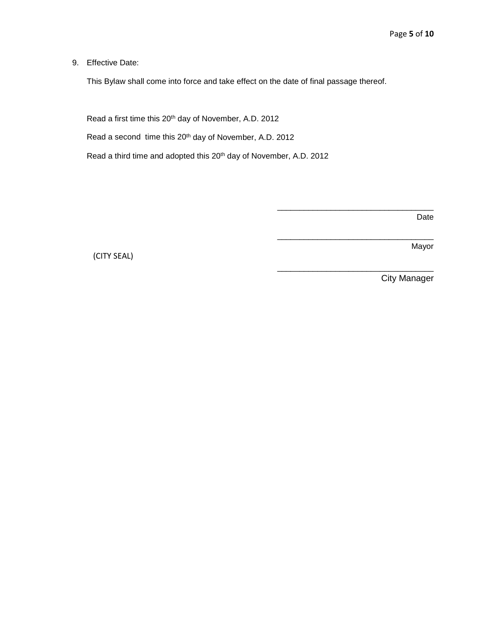9. Effective Date:

This Bylaw shall come into force and take effect on the date of final passage thereof.

Read a first time this 20<sup>th</sup> day of November, A.D. 2012

Read a second time this 20<sup>th</sup> day of November, A.D. 2012

Read a third time and adopted this 20<sup>th</sup> day of November, A.D. 2012

Date

Mayor

(CITY SEAL)

City Manager

\_\_\_\_\_\_\_\_\_\_\_\_\_\_\_\_\_\_\_\_\_\_\_\_\_\_\_\_\_\_\_\_\_\_\_

\_\_\_\_\_\_\_\_\_\_\_\_\_\_\_\_\_\_\_\_\_\_\_\_\_\_\_\_\_\_\_\_\_\_\_

\_\_\_\_\_\_\_\_\_\_\_\_\_\_\_\_\_\_\_\_\_\_\_\_\_\_\_\_\_\_\_\_\_\_\_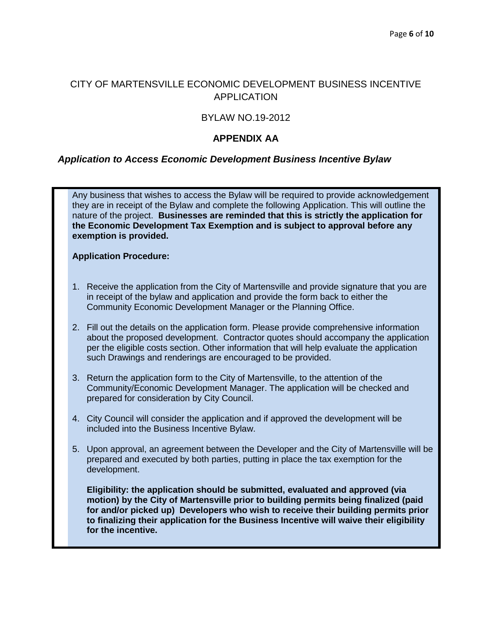# CITY OF MARTENSVILLE ECONOMIC DEVELOPMENT BUSINESS INCENTIVE APPLICATION

# BYLAW NO.19-2012

# **APPENDIX AA**

# *Application to Access Economic Development Business Incentive Bylaw*

Any business that wishes to access the Bylaw will be required to provide acknowledgement they are in receipt of the Bylaw and complete the following Application. This will outline the nature of the project. **Businesses are reminded that this is strictly the application for the Economic Development Tax Exemption and is subject to approval before any exemption is provided.**

### **Application Procedure:**

- 1. Receive the application from the City of Martensville and provide signature that you are in receipt of the bylaw and application and provide the form back to either the Community Economic Development Manager or the Planning Office.
- 2. Fill out the details on the application form. Please provide comprehensive information about the proposed development. Contractor quotes should accompany the application per the eligible costs section. Other information that will help evaluate the application such Drawings and renderings are encouraged to be provided.
- 3. Return the application form to the City of Martensville, to the attention of the Community/Economic Development Manager. The application will be checked and prepared for consideration by City Council.
- 4. City Council will consider the application and if approved the development will be included into the Business Incentive Bylaw.
- 5. Upon approval, an agreement between the Developer and the City of Martensville will be prepared and executed by both parties, putting in place the tax exemption for the development.

**Eligibility: the application should be submitted, evaluated and approved (via motion) by the City of Martensville prior to building permits being finalized (paid for and/or picked up) Developers who wish to receive their building permits prior to finalizing their application for the Business Incentive will waive their eligibility for the incentive.**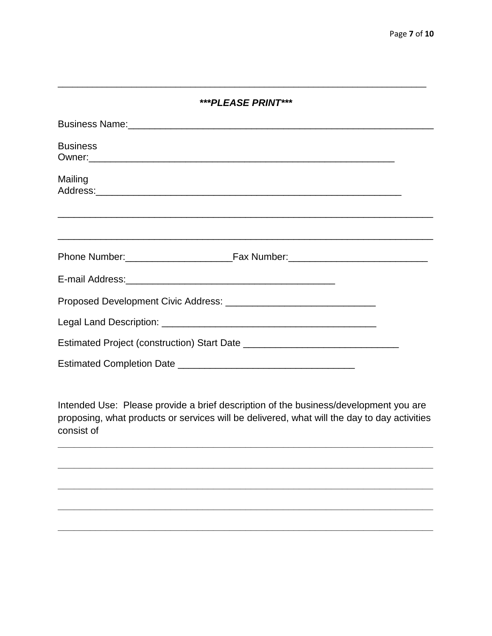| ***PLEASE PRINT***                                                                                                                                                                                                             |  |  |  |
|--------------------------------------------------------------------------------------------------------------------------------------------------------------------------------------------------------------------------------|--|--|--|
| Business Name: Discovery and the set of the set of the set of the set of the set of the set of the set of the set of the set of the set of the set of the set of the set of the set of the set of the set of the set of the se |  |  |  |
| <b>Business</b>                                                                                                                                                                                                                |  |  |  |
| Mailing                                                                                                                                                                                                                        |  |  |  |
|                                                                                                                                                                                                                                |  |  |  |
|                                                                                                                                                                                                                                |  |  |  |
|                                                                                                                                                                                                                                |  |  |  |
|                                                                                                                                                                                                                                |  |  |  |
|                                                                                                                                                                                                                                |  |  |  |
|                                                                                                                                                                                                                                |  |  |  |
|                                                                                                                                                                                                                                |  |  |  |

Intended Use: Please provide a brief description of the business/development you are proposing, what products or services will be delivered, what will the day to day activities consist of

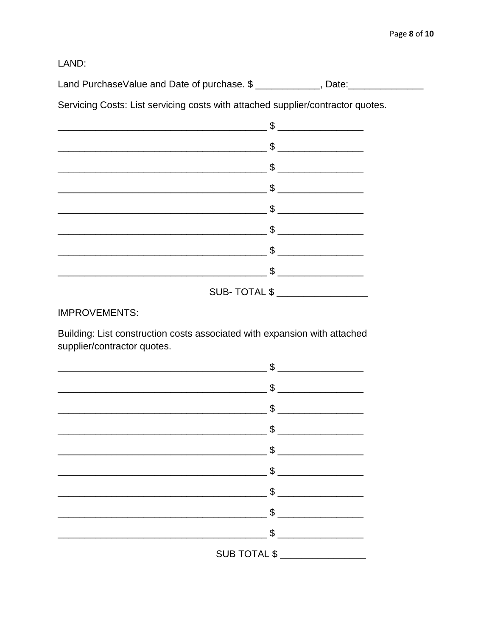LAND:

Land PurchaseValue and Date of purchase. \$ \_\_\_\_\_\_\_\_\_\_\_\_, Date: \_\_\_\_\_\_\_\_\_\_\_\_\_\_\_\_\_

Servicing Costs: List servicing costs with attached supplier/contractor quotes.

| \$             |
|----------------|
| $\mathbb S$    |
| \$             |
| $$$            |
| $\frac{1}{2}$  |
| $\mathfrak{S}$ |
| \$             |
|                |
| SUB-TOTAL \$   |

**IMPROVEMENTS:** 

Building: List construction costs associated with expansion with attached supplier/contractor quotes.

| \$                             |
|--------------------------------|
|                                |
| $\mathbb{S}$ $\qquad \qquad$   |
| $\mathbb{S}$                   |
| $\mathbb{S}$                   |
| $\sim$ \$                      |
| $\mathfrak s$                  |
| $\mathfrak{L}$                 |
| \$                             |
| SUB TOTAL \$ _________________ |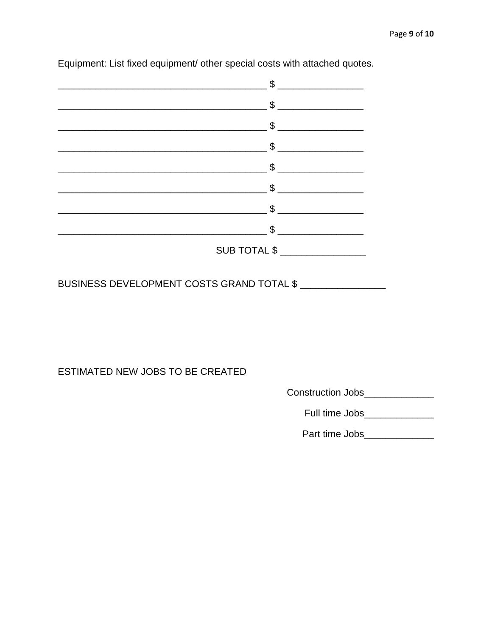| \$                                                      |
|---------------------------------------------------------|
| \$                                                      |
| \$                                                      |
| $\mathfrak{L}$<br><u> 1990 - Jan Barbara III, martx</u> |
| \$                                                      |
| \$                                                      |
| \$                                                      |
| \$                                                      |
| <b>SUB TOTAL \$</b>                                     |

Equipment: List fixed equipment/ other special costs with attached quotes.

BUSINESS DEVELOPMENT COSTS GRAND TOTAL \$

ESTIMATED NEW JOBS TO BE CREATED

Construction Jobs\_\_\_\_\_\_\_\_\_\_\_\_\_\_

Full time Jobs\_\_\_\_\_\_\_\_\_\_\_\_\_

Part time Jobs\_\_\_\_\_\_\_\_\_\_\_\_\_\_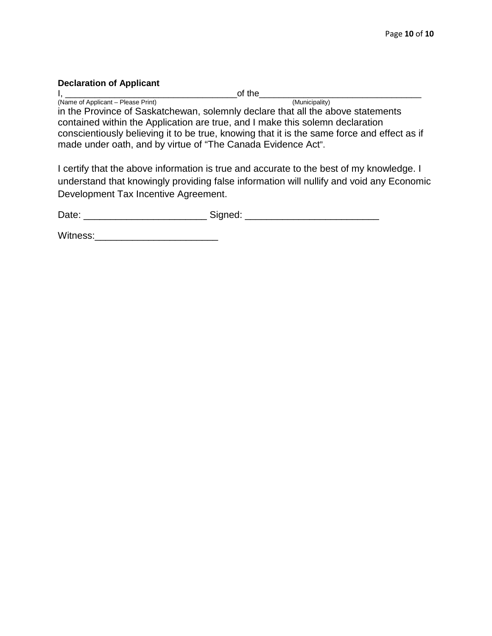## **Declaration of Applicant**

I, \_\_\_\_\_\_\_\_\_\_\_\_\_\_\_\_\_\_\_\_\_\_\_\_\_\_\_\_\_\_\_\_\_\_\_of the\_\_\_\_\_\_\_\_\_\_\_\_\_\_\_\_\_\_\_\_\_\_\_\_\_\_\_\_\_\_\_\_\_

(Name of Applicant – Please Print) (Municipality) in the Province of Saskatchewan, solemnly declare that all the above statements contained within the Application are true, and I make this solemn declaration conscientiously believing it to be true, knowing that it is the same force and effect as if made under oath, and by virtue of "The Canada Evidence Act".

I certify that the above information is true and accurate to the best of my knowledge. I understand that knowingly providing false information will nullify and void any Economic Development Tax Incentive Agreement.

Date: \_\_\_\_\_\_\_\_\_\_\_\_\_\_\_\_\_\_\_\_\_\_\_\_\_\_\_\_\_\_\_\_\_\_\_Signed: \_\_\_\_\_\_\_\_\_\_\_\_\_\_\_\_\_\_\_\_\_\_\_\_\_\_\_\_\_\_\_

Witness:\_\_\_\_\_\_\_\_\_\_\_\_\_\_\_\_\_\_\_\_\_\_\_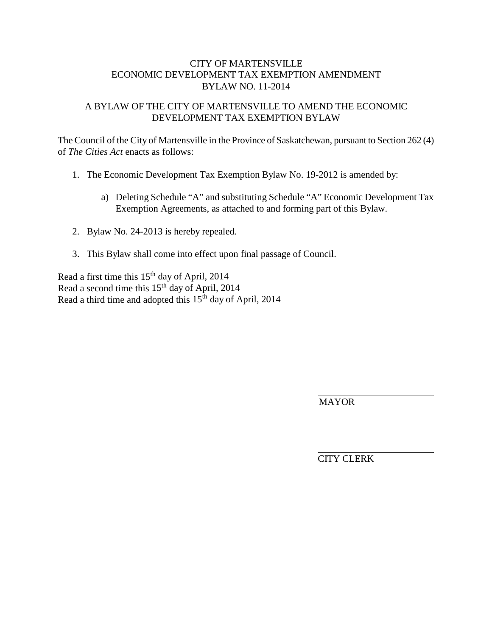# A BYLAW OF THE CITY OF MARTENSVILLE TO AMEND THE ECONOMIC DEVELOPMENT TAX EXEMPTION BYLAW

The Council of the City of Martensville in the Province of Saskatchewan, pursuant to Section 262 (4) of *The Cities Act* enacts as follows:

- 1. The Economic Development Tax Exemption Bylaw No. 19-2012 is amended by:
	- a) Deleting Schedule "A" and substituting Schedule "A" Economic Development Tax Exemption Agreements, as attached to and forming part of this Bylaw.
- 2. Bylaw No. 24-2013 is hereby repealed.
- 3. This Bylaw shall come into effect upon final passage of Council.

Read a first time this 15th day of April, 2014 Read a second time this 15<sup>th</sup> day of April, 2014 Read a third time and adopted this 15<sup>th</sup> day of April, 2014

MAYOR

CITY CLERK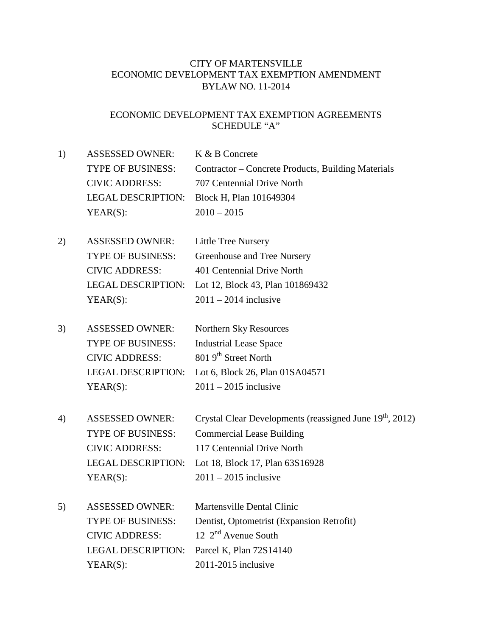# ECONOMIC DEVELOPMENT TAX EXEMPTION AGREEMENTS SCHEDULE "A"

- 1) ASSESSED OWNER: K & B Concrete TYPE OF BUSINESS: Contractor – Concrete Products, Building Materials CIVIC ADDRESS: 707 Centennial Drive North LEGAL DESCRIPTION: Block H, Plan 101649304  $YEAR(S):$  2010 – 2015
- 2) ASSESSED OWNER: Little Tree Nursery TYPE OF BUSINESS: Greenhouse and Tree Nursery CIVIC ADDRESS: 401 Centennial Drive North LEGAL DESCRIPTION: Lot 12, Block 43, Plan 101869432 YEAR(S):  $2011 - 2014$  inclusive
- 3) ASSESSED OWNER: Northern Sky Resources TYPE OF BUSINESS: CIVIC ADDRESS: Industrial Lease Space 801 9<sup>th</sup> Street North LEGAL DESCRIPTION: Lot 6, Block 26, Plan 01SA04571  $YEAR(S):$  2011 – 2015 inclusive
- 4) ASSESSED OWNER: Crystal Clear Developments (reassigned June 19<sup>th</sup>, 2012) TYPE OF BUSINESS: Commercial Lease Building CIVIC ADDRESS: 117 Centennial Drive North LEGAL DESCRIPTION: Lot 18, Block 17, Plan 63S16928  $YEAR(S):$  2011 – 2015 inclusive
- 5) ASSESSED OWNER: Martensville Dental Clinic TYPE OF BUSINESS: CIVIC ADDRESS: Dentist, Optometrist (Expansion Retrofit) 12 2<sup>nd</sup> Avenue South LEGAL DESCRIPTION: Parcel K, Plan 72S14140 YEAR(S): 2011-2015 inclusive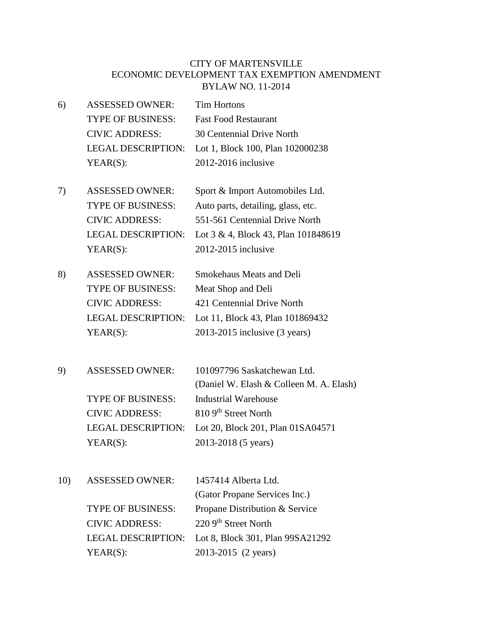- 6) ASSESSED OWNER: Tim Hortons TYPE OF BUSINESS: Fast Food Restaurant CIVIC ADDRESS: 30 Centennial Drive North LEGAL DESCRIPTION: Lot 1, Block 100, Plan 102000238 YEAR(S): 2012-2016 inclusive
- 7) ASSESSED OWNER: Sport & Import Automobiles Ltd. TYPE OF BUSINESS: Auto parts, detailing, glass, etc. CIVIC ADDRESS: 551-561 Centennial Drive North LEGAL DESCRIPTION: Lot 3 & 4, Block 43, Plan 101848619 YEAR(S): 2012-2015 inclusive
- 8) ASSESSED OWNER: Smokehaus Meats and Deli TYPE OF BUSINESS: Meat Shop and Deli CIVIC ADDRESS: 421 Centennial Drive North LEGAL DESCRIPTION: Lot 11, Block 43, Plan 101869432 YEAR(S): 2013-2015 inclusive (3 years)
- 9) ASSESSED OWNER: 101097796 Saskatchewan Ltd. (Daniel W. Elash & Colleen M. A. Elash) TYPE OF BUSINESS: Industrial Warehouse CIVIC ADDRESS: 810 9th Street North LEGAL DESCRIPTION: Lot 20, Block 201, Plan 01SA04571 YEAR(S): 2013-2018 (5 years)
- 10) ASSESSED OWNER: 1457414 Alberta Ltd. (Gator Propane Services Inc.) TYPE OF BUSINESS: Propane Distribution & Service CIVIC ADDRESS: 220 9<sup>th</sup> Street North LEGAL DESCRIPTION: Lot 8, Block 301, Plan 99SA21292 YEAR(S): 2013-2015 (2 years)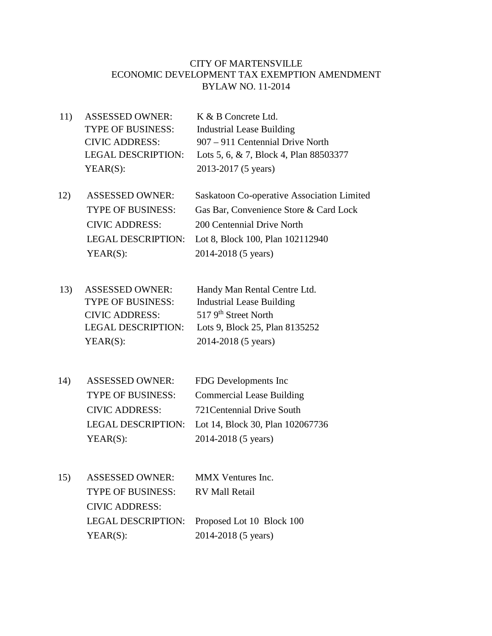- 11) ASSESSED OWNER: K & B Concrete Ltd. TYPE OF BUSINESS: Industrial Lease Building CIVIC ADDRESS: 907 – 911 Centennial Drive North LEGAL DESCRIPTION: Lots 5, 6, & 7, Block 4, Plan 88503377 YEAR(S): 2013-2017 (5 years)
- 12) ASSESSED OWNER: Saskatoon Co-operative Association Limited TYPE OF BUSINESS: Gas Bar, Convenience Store & Card Lock CIVIC ADDRESS: 200 Centennial Drive North LEGAL DESCRIPTION: Lot 8, Block 100, Plan 102112940 YEAR(S): 2014-2018 (5 years)
- 13) ASSESSED OWNER: Handy Man Rental Centre Ltd. TYPE OF BUSINESS: Industrial Lease Building CIVIC ADDRESS: 517 9th Street North LEGAL DESCRIPTION: Lots 9, Block 25, Plan 8135252 YEAR(S): 2014-2018 (5 years)
- 14) ASSESSED OWNER: FDG Developments Inc TYPE OF BUSINESS: Commercial Lease Building CIVIC ADDRESS: 721Centennial Drive South LEGAL DESCRIPTION: Lot 14, Block 30, Plan 102067736 YEAR(S): 2014-2018 (5 years)
- 15) ASSESSED OWNER: MMX Ventures Inc. TYPE OF BUSINESS: RV Mall Retail CIVIC ADDRESS: LEGAL DESCRIPTION: Proposed Lot 10 Block 100 YEAR(S): 2014-2018 (5 years)